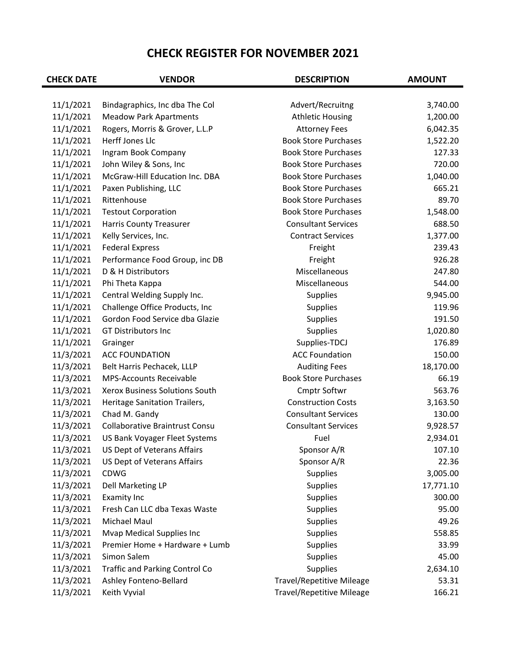## **CHECK REGISTER FOR NOVEMBER 2021**

| <b>CHECK DATE</b> | <b>VENDOR</b>                                                   | <b>DESCRIPTION</b>                          | <b>AMOUNT</b>        |
|-------------------|-----------------------------------------------------------------|---------------------------------------------|----------------------|
| 11/1/2021         |                                                                 |                                             |                      |
| 11/1/2021         | Bindagraphics, Inc dba The Col<br><b>Meadow Park Apartments</b> | Advert/Recruitng<br><b>Athletic Housing</b> | 3,740.00<br>1,200.00 |
| 11/1/2021         | Rogers, Morris & Grover, L.L.P                                  | <b>Attorney Fees</b>                        | 6,042.35             |
| 11/1/2021         | Herff Jones Llc                                                 | <b>Book Store Purchases</b>                 | 1,522.20             |
| 11/1/2021         | Ingram Book Company                                             | <b>Book Store Purchases</b>                 | 127.33               |
| 11/1/2021         | John Wiley & Sons, Inc                                          | <b>Book Store Purchases</b>                 | 720.00               |
| 11/1/2021         | McGraw-Hill Education Inc. DBA                                  | <b>Book Store Purchases</b>                 | 1,040.00             |
| 11/1/2021         | Paxen Publishing, LLC                                           | <b>Book Store Purchases</b>                 | 665.21               |
| 11/1/2021         | Rittenhouse                                                     | <b>Book Store Purchases</b>                 | 89.70                |
| 11/1/2021         | <b>Testout Corporation</b>                                      | <b>Book Store Purchases</b>                 | 1,548.00             |
| 11/1/2021         | <b>Harris County Treasurer</b>                                  | <b>Consultant Services</b>                  | 688.50               |
| 11/1/2021         | Kelly Services, Inc.                                            | <b>Contract Services</b>                    | 1,377.00             |
| 11/1/2021         | <b>Federal Express</b>                                          | Freight                                     | 239.43               |
| 11/1/2021         | Performance Food Group, inc DB                                  | Freight                                     | 926.28               |
| 11/1/2021         | D & H Distributors                                              | Miscellaneous                               | 247.80               |
| 11/1/2021         | Phi Theta Kappa                                                 | Miscellaneous                               | 544.00               |
| 11/1/2021         | Central Welding Supply Inc.                                     | Supplies                                    | 9,945.00             |
| 11/1/2021         | Challenge Office Products, Inc                                  |                                             | 119.96               |
|                   | Gordon Food Service dba Glazie                                  | Supplies                                    | 191.50               |
| 11/1/2021         | <b>GT Distributors Inc</b>                                      | Supplies                                    |                      |
| 11/1/2021         |                                                                 | Supplies                                    | 1,020.80             |
| 11/1/2021         | Grainger                                                        | Supplies-TDCJ                               | 176.89               |
| 11/3/2021         | <b>ACC FOUNDATION</b>                                           | <b>ACC Foundation</b>                       | 150.00               |
| 11/3/2021         | Belt Harris Pechacek, LLLP                                      | <b>Auditing Fees</b>                        | 18,170.00            |
| 11/3/2021         | <b>MPS-Accounts Receivable</b>                                  | <b>Book Store Purchases</b>                 | 66.19                |
| 11/3/2021         | Xerox Business Solutions South                                  | Cmptr Softwr                                | 563.76               |
| 11/3/2021         | Heritage Sanitation Trailers,                                   | <b>Construction Costs</b>                   | 3,163.50             |
| 11/3/2021         | Chad M. Gandy                                                   | <b>Consultant Services</b>                  | 130.00               |
| 11/3/2021         | <b>Collaborative Braintrust Consu</b>                           | <b>Consultant Services</b>                  | 9,928.57             |
| 11/3/2021         | US Bank Voyager Fleet Systems                                   | Fuel                                        | 2,934.01             |
| 11/3/2021         | US Dept of Veterans Affairs                                     | Sponsor A/R                                 | 107.10               |
| 11/3/2021         | US Dept of Veterans Affairs                                     | Sponsor A/R                                 | 22.36                |
| 11/3/2021         | CDWG                                                            | Supplies                                    | 3,005.00             |
| 11/3/2021         | Dell Marketing LP                                               | Supplies                                    | 17,771.10            |
| 11/3/2021         | <b>Examity Inc</b>                                              | Supplies                                    | 300.00               |
| 11/3/2021         | Fresh Can LLC dba Texas Waste                                   | Supplies                                    | 95.00                |
| 11/3/2021         | Michael Maul                                                    | <b>Supplies</b>                             | 49.26                |
| 11/3/2021         | <b>Mvap Medical Supplies Inc</b>                                | Supplies                                    | 558.85               |
| 11/3/2021         | Premier Home + Hardware + Lumb                                  | Supplies                                    | 33.99                |
| 11/3/2021         | Simon Salem                                                     | <b>Supplies</b>                             | 45.00                |
| 11/3/2021         | <b>Traffic and Parking Control Co</b>                           | Supplies                                    | 2,634.10             |
| 11/3/2021         | Ashley Fonteno-Bellard                                          | <b>Travel/Repetitive Mileage</b>            | 53.31                |
| 11/3/2021         | Keith Vyvial                                                    | <b>Travel/Repetitive Mileage</b>            | 166.21               |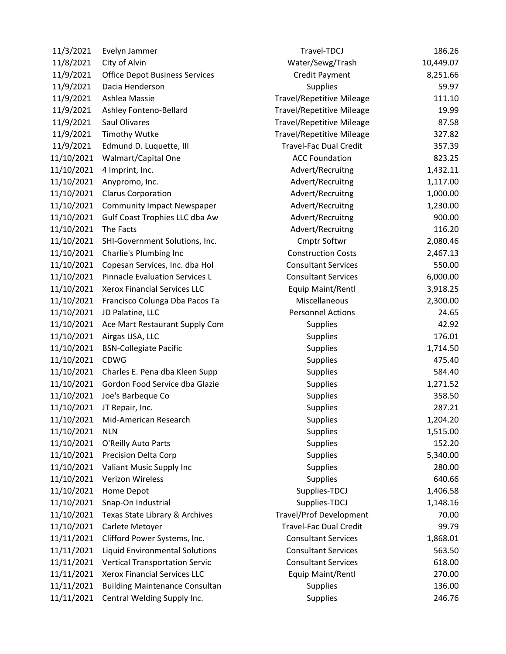| 11/3/2021  | Evelyn Jammer                         | Travel-TDCJ                      | 186.26    |
|------------|---------------------------------------|----------------------------------|-----------|
| 11/8/2021  | City of Alvin                         | Water/Sewg/Trash                 | 10,449.07 |
| 11/9/2021  | <b>Office Depot Business Services</b> | <b>Credit Payment</b>            | 8,251.66  |
| 11/9/2021  | Dacia Henderson                       | <b>Supplies</b>                  | 59.97     |
| 11/9/2021  | Ashlea Massie                         | <b>Travel/Repetitive Mileage</b> | 111.10    |
| 11/9/2021  | Ashley Fonteno-Bellard                | <b>Travel/Repetitive Mileage</b> | 19.99     |
| 11/9/2021  | Saul Olivares                         | <b>Travel/Repetitive Mileage</b> | 87.58     |
| 11/9/2021  | <b>Timothy Wutke</b>                  | <b>Travel/Repetitive Mileage</b> | 327.82    |
| 11/9/2021  | Edmund D. Luquette, III               | <b>Travel-Fac Dual Credit</b>    | 357.39    |
| 11/10/2021 | Walmart/Capital One                   | <b>ACC Foundation</b>            | 823.25    |
| 11/10/2021 | 4 Imprint, Inc.                       | Advert/Recruitng                 | 1,432.11  |
| 11/10/2021 | Anypromo, Inc.                        | Advert/Recruitng                 | 1,117.00  |
| 11/10/2021 | <b>Clarus Corporation</b>             | Advert/Recruitng                 | 1,000.00  |
| 11/10/2021 | <b>Community Impact Newspaper</b>     | Advert/Recruitng                 | 1,230.00  |
| 11/10/2021 | Gulf Coast Trophies LLC dba Aw        | Advert/Recruitng                 | 900.00    |
| 11/10/2021 | The Facts                             | Advert/Recruitng                 | 116.20    |
| 11/10/2021 | SHI-Government Solutions, Inc.        | Cmptr Softwr                     | 2,080.46  |
| 11/10/2021 | Charlie's Plumbing Inc                | <b>Construction Costs</b>        | 2,467.13  |
| 11/10/2021 | Copesan Services, Inc. dba Hol        | <b>Consultant Services</b>       | 550.00    |
| 11/10/2021 | <b>Pinnacle Evaluation Services L</b> | <b>Consultant Services</b>       | 6,000.00  |
| 11/10/2021 | Xerox Financial Services LLC          | Equip Maint/Rentl                | 3,918.25  |
| 11/10/2021 | Francisco Colunga Dba Pacos Ta        | Miscellaneous                    | 2,300.00  |
| 11/10/2021 | JD Palatine, LLC                      | <b>Personnel Actions</b>         | 24.65     |
| 11/10/2021 | Ace Mart Restaurant Supply Com        | <b>Supplies</b>                  | 42.92     |
| 11/10/2021 | Airgas USA, LLC                       | <b>Supplies</b>                  | 176.01    |
| 11/10/2021 | <b>BSN-Collegiate Pacific</b>         | <b>Supplies</b>                  | 1,714.50  |
| 11/10/2021 | <b>CDWG</b>                           | <b>Supplies</b>                  | 475.40    |
| 11/10/2021 | Charles E. Pena dba Kleen Supp        | <b>Supplies</b>                  | 584.40    |
| 11/10/2021 | Gordon Food Service dba Glazie        | <b>Supplies</b>                  | 1,271.52  |
| 11/10/2021 | Joe's Barbeque Co                     | <b>Supplies</b>                  | 358.50    |
| 11/10/2021 | JT Repair, Inc.                       | <b>Supplies</b>                  | 287.21    |
| 11/10/2021 | Mid-American Research                 | <b>Supplies</b>                  | 1,204.20  |
| 11/10/2021 | <b>NLN</b>                            | <b>Supplies</b>                  | 1,515.00  |
| 11/10/2021 | O'Reilly Auto Parts                   | <b>Supplies</b>                  | 152.20    |
| 11/10/2021 | Precision Delta Corp                  | <b>Supplies</b>                  | 5,340.00  |
| 11/10/2021 | Valiant Music Supply Inc              | <b>Supplies</b>                  | 280.00    |
| 11/10/2021 | Verizon Wireless                      | <b>Supplies</b>                  | 640.66    |
| 11/10/2021 | Home Depot                            | Supplies-TDCJ                    | 1,406.58  |
| 11/10/2021 | Snap-On Industrial                    | Supplies-TDCJ                    | 1,148.16  |
| 11/10/2021 | Texas State Library & Archives        | <b>Travel/Prof Development</b>   | 70.00     |
| 11/10/2021 | Carlete Metoyer                       | <b>Travel-Fac Dual Credit</b>    | 99.79     |
| 11/11/2021 | Clifford Power Systems, Inc.          | <b>Consultant Services</b>       | 1,868.01  |
| 11/11/2021 | Liquid Environmental Solutions        | <b>Consultant Services</b>       | 563.50    |
| 11/11/2021 | <b>Vertical Transportation Servic</b> | <b>Consultant Services</b>       | 618.00    |
| 11/11/2021 | <b>Xerox Financial Services LLC</b>   | Equip Maint/Rentl                | 270.00    |
| 11/11/2021 | <b>Building Maintenance Consultan</b> | <b>Supplies</b>                  | 136.00    |
| 11/11/2021 | Central Welding Supply Inc.           | <b>Supplies</b>                  | 246.76    |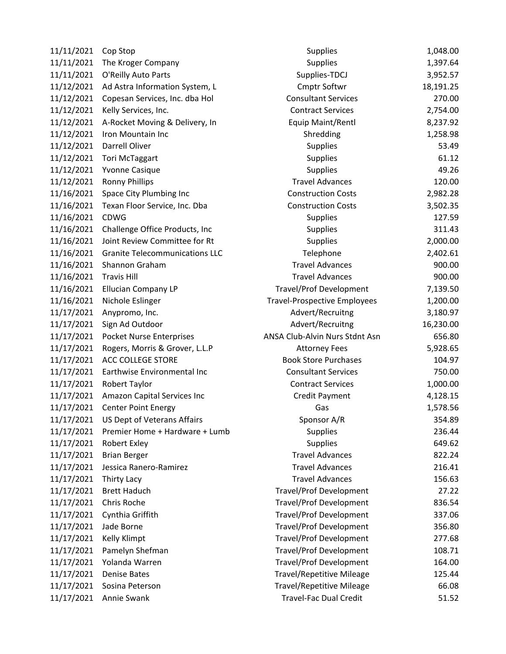| 11/11/2021 | Cop Stop                              |
|------------|---------------------------------------|
| 11/11/2021 | The Kroger Company                    |
| 11/11/2021 | O'Reilly Auto Parts                   |
| 11/12/2021 | Ad Astra Information System, L        |
| 11/12/2021 | Copesan Services, Inc. dba Hol        |
| 11/12/2021 | Kelly Services, Inc.                  |
| 11/12/2021 | A-Rocket Moving & Delivery, In        |
| 11/12/2021 | Iron Mountain Inc                     |
| 11/12/2021 | Darrell Oliver                        |
| 11/12/2021 | <b>Tori McTaggart</b>                 |
| 11/12/2021 | <b>Yvonne Casique</b>                 |
| 11/12/2021 | <b>Ronny Phillips</b>                 |
| 11/16/2021 | Space City Plumbing Inc               |
| 11/16/2021 | Texan Floor Service, Inc. Dba         |
| 11/16/2021 | CDWG                                  |
| 11/16/2021 | Challenge Office Products, Inc        |
| 11/16/2021 | Joint Review Committee for Rt         |
| 11/16/2021 | <b>Granite Telecommunications LLC</b> |
| 11/16/2021 | Shannon Graham                        |
| 11/16/2021 | <b>Travis Hill</b>                    |
| 11/16/2021 | <b>Ellucian Company LP</b>            |
| 11/16/2021 | Nichole Eslinger                      |
| 11/17/2021 | Anypromo, Inc.                        |
| 11/17/2021 | Sign Ad Outdoor                       |
| 11/17/2021 | <b>Pocket Nurse Enterprises</b>       |
| 11/17/2021 | Rogers, Morris & Grover, L.L.P        |
| 11/17/2021 | <b>ACC COLLEGE STORE</b>              |
| 11/17/2021 | Earthwise Environmental Inc           |
| 11/17/2021 | Robert Taylor                         |
| 11/17/2021 | Amazon Capital Services Inc           |
| 11/17/2021 | <b>Center Point Energy</b>            |
| 11/17/2021 | US Dept of Veterans Affairs           |
| 11/17/2021 | Premier Home + Hardware + Lumb        |
| 11/17/2021 | Robert Exley                          |
| 11/17/2021 | <b>Brian Berger</b>                   |
| 11/17/2021 | Jessica Ranero-Ramirez                |
| 11/17/2021 | Thirty Lacy                           |
| 11/17/2021 | <b>Brett Haduch</b>                   |
| 11/17/2021 | Chris Roche                           |
| 11/17/2021 | Cynthia Griffith                      |
| 11/17/2021 | Jade Borne                            |
| 11/17/2021 | Kelly Klimpt                          |
| 11/17/2021 | Pamelyn Shefman                       |
| 11/17/2021 | Yolanda Warren                        |
| 11/17/2021 | <b>Denise Bates</b>                   |
| 11/17/2021 | Sosina Peterson                       |
| 11/17/2021 | Annie Swank                           |

| 11/11/2021<br>The Kroger Company<br><b>Supplies</b><br>11/11/2021<br>O'Reilly Auto Parts<br>Supplies-TDCJ<br>Ad Astra Information System, L<br>Cmptr Softwr<br>11/12/2021<br>11/12/2021<br>Copesan Services, Inc. dba Hol<br><b>Consultant Services</b><br>11/12/2021<br><b>Contract Services</b><br>Kelly Services, Inc.<br>11/12/2021<br>A-Rocket Moving & Delivery, In<br>Equip Maint/Rentl<br>11/12/2021<br>Iron Mountain Inc<br>Shredding<br>11/12/2021<br>Darrell Oliver<br>Supplies<br>11/12/2021<br><b>Tori McTaggart</b><br><b>Supplies</b><br>11/12/2021<br><b>Yvonne Casique</b><br><b>Supplies</b><br><b>Travel Advances</b><br>11/12/2021<br><b>Ronny Phillips</b><br>11/16/2021<br>Space City Plumbing Inc<br><b>Construction Costs</b><br>11/16/2021<br><b>Construction Costs</b><br>Texan Floor Service, Inc. Dba<br>11/16/2021<br><b>CDWG</b><br><b>Supplies</b><br>11/16/2021<br>Challenge Office Products, Inc<br><b>Supplies</b><br>11/16/2021<br>Joint Review Committee for Rt<br><b>Supplies</b><br>11/16/2021<br><b>Granite Telecommunications LLC</b><br>Telephone<br>11/16/2021<br><b>Travel Advances</b><br>Shannon Graham<br><b>Travel Advances</b><br>11/16/2021<br><b>Travis Hill</b><br>11/16/2021<br><b>Ellucian Company LP</b><br><b>Travel/Prof Development</b><br>11/16/2021<br>Nichole Eslinger<br><b>Travel-Prospective Employees</b><br>11/17/2021<br>Advert/Recruitng<br>Anypromo, Inc.<br>11/17/2021<br>Advert/Recruitng<br>Sign Ad Outdoor<br>11/17/2021<br>ANSA Club-Alvin Nurs Stdnt Asn<br>Pocket Nurse Enterprises<br>11/17/2021<br>Rogers, Morris & Grover, L.L.P<br><b>Attorney Fees</b><br><b>Book Store Purchases</b><br>11/17/2021<br><b>ACC COLLEGE STORE</b><br>11/17/2021<br>Earthwise Environmental Inc<br><b>Consultant Services</b><br>11/17/2021<br><b>Contract Services</b><br>Robert Taylor<br>11/17/2021<br>Amazon Capital Services Inc<br><b>Credit Payment</b><br>11/17/2021<br><b>Center Point Energy</b><br>Gas<br>11/17/2021<br>US Dept of Veterans Affairs<br>Sponsor A/R<br>11/17/2021<br>Premier Home + Hardware + Lumb<br><b>Supplies</b><br>11/17/2021<br><b>Robert Exley</b><br><b>Supplies</b><br>11/17/2021<br><b>Travel Advances</b><br><b>Brian Berger</b><br>Jessica Ranero-Ramirez<br><b>Travel Advances</b><br>11/17/2021<br>11/17/2021<br><b>Travel Advances</b><br>Thirty Lacy<br>11/17/2021<br><b>Travel/Prof Development</b><br><b>Brett Haduch</b><br>11/17/2021<br><b>Travel/Prof Development</b><br>Chris Roche<br>11/17/2021<br>Cynthia Griffith<br><b>Travel/Prof Development</b><br>11/17/2021<br><b>Travel/Prof Development</b><br>Jade Borne<br>11/17/2021<br>Kelly Klimpt<br><b>Travel/Prof Development</b><br>11/17/2021<br><b>Travel/Prof Development</b><br>Pamelyn Shefman<br>11/17/2021<br><b>Travel/Prof Development</b><br>Yolanda Warren<br>11/17/2021<br><b>Denise Bates</b><br><b>Travel/Repetitive Mileage</b><br>11/17/2021<br><b>Travel/Repetitive Mileage</b><br>Sosina Peterson<br>11/17/2021<br>Annie Swank<br><b>Travel-Fac Dual Credit</b> | 11/11/2021 | Cop Stop | <b>Supplies</b> | 1,048.00  |
|--------------------------------------------------------------------------------------------------------------------------------------------------------------------------------------------------------------------------------------------------------------------------------------------------------------------------------------------------------------------------------------------------------------------------------------------------------------------------------------------------------------------------------------------------------------------------------------------------------------------------------------------------------------------------------------------------------------------------------------------------------------------------------------------------------------------------------------------------------------------------------------------------------------------------------------------------------------------------------------------------------------------------------------------------------------------------------------------------------------------------------------------------------------------------------------------------------------------------------------------------------------------------------------------------------------------------------------------------------------------------------------------------------------------------------------------------------------------------------------------------------------------------------------------------------------------------------------------------------------------------------------------------------------------------------------------------------------------------------------------------------------------------------------------------------------------------------------------------------------------------------------------------------------------------------------------------------------------------------------------------------------------------------------------------------------------------------------------------------------------------------------------------------------------------------------------------------------------------------------------------------------------------------------------------------------------------------------------------------------------------------------------------------------------------------------------------------------------------------------------------------------------------------------------------------------------------------------------------------------------------------------------------------------------------------------------------------------------------------------------------------------------------------------------------------------------------------------------------------------------------------------------------------------------------------------------------------------------------------------------------------------------------------------------------------|------------|----------|-----------------|-----------|
|                                                                                                                                                                                                                                                                                                                                                                                                                                                                                                                                                                                                                                                                                                                                                                                                                                                                                                                                                                                                                                                                                                                                                                                                                                                                                                                                                                                                                                                                                                                                                                                                                                                                                                                                                                                                                                                                                                                                                                                                                                                                                                                                                                                                                                                                                                                                                                                                                                                                                                                                                                                                                                                                                                                                                                                                                                                                                                                                                                                                                                                        |            |          |                 | 1,397.64  |
|                                                                                                                                                                                                                                                                                                                                                                                                                                                                                                                                                                                                                                                                                                                                                                                                                                                                                                                                                                                                                                                                                                                                                                                                                                                                                                                                                                                                                                                                                                                                                                                                                                                                                                                                                                                                                                                                                                                                                                                                                                                                                                                                                                                                                                                                                                                                                                                                                                                                                                                                                                                                                                                                                                                                                                                                                                                                                                                                                                                                                                                        |            |          |                 | 3,952.57  |
|                                                                                                                                                                                                                                                                                                                                                                                                                                                                                                                                                                                                                                                                                                                                                                                                                                                                                                                                                                                                                                                                                                                                                                                                                                                                                                                                                                                                                                                                                                                                                                                                                                                                                                                                                                                                                                                                                                                                                                                                                                                                                                                                                                                                                                                                                                                                                                                                                                                                                                                                                                                                                                                                                                                                                                                                                                                                                                                                                                                                                                                        |            |          |                 | 18,191.25 |
|                                                                                                                                                                                                                                                                                                                                                                                                                                                                                                                                                                                                                                                                                                                                                                                                                                                                                                                                                                                                                                                                                                                                                                                                                                                                                                                                                                                                                                                                                                                                                                                                                                                                                                                                                                                                                                                                                                                                                                                                                                                                                                                                                                                                                                                                                                                                                                                                                                                                                                                                                                                                                                                                                                                                                                                                                                                                                                                                                                                                                                                        |            |          |                 | 270.00    |
|                                                                                                                                                                                                                                                                                                                                                                                                                                                                                                                                                                                                                                                                                                                                                                                                                                                                                                                                                                                                                                                                                                                                                                                                                                                                                                                                                                                                                                                                                                                                                                                                                                                                                                                                                                                                                                                                                                                                                                                                                                                                                                                                                                                                                                                                                                                                                                                                                                                                                                                                                                                                                                                                                                                                                                                                                                                                                                                                                                                                                                                        |            |          |                 | 2,754.00  |
|                                                                                                                                                                                                                                                                                                                                                                                                                                                                                                                                                                                                                                                                                                                                                                                                                                                                                                                                                                                                                                                                                                                                                                                                                                                                                                                                                                                                                                                                                                                                                                                                                                                                                                                                                                                                                                                                                                                                                                                                                                                                                                                                                                                                                                                                                                                                                                                                                                                                                                                                                                                                                                                                                                                                                                                                                                                                                                                                                                                                                                                        |            |          |                 | 8,237.92  |
|                                                                                                                                                                                                                                                                                                                                                                                                                                                                                                                                                                                                                                                                                                                                                                                                                                                                                                                                                                                                                                                                                                                                                                                                                                                                                                                                                                                                                                                                                                                                                                                                                                                                                                                                                                                                                                                                                                                                                                                                                                                                                                                                                                                                                                                                                                                                                                                                                                                                                                                                                                                                                                                                                                                                                                                                                                                                                                                                                                                                                                                        |            |          |                 | 1,258.98  |
|                                                                                                                                                                                                                                                                                                                                                                                                                                                                                                                                                                                                                                                                                                                                                                                                                                                                                                                                                                                                                                                                                                                                                                                                                                                                                                                                                                                                                                                                                                                                                                                                                                                                                                                                                                                                                                                                                                                                                                                                                                                                                                                                                                                                                                                                                                                                                                                                                                                                                                                                                                                                                                                                                                                                                                                                                                                                                                                                                                                                                                                        |            |          |                 | 53.49     |
|                                                                                                                                                                                                                                                                                                                                                                                                                                                                                                                                                                                                                                                                                                                                                                                                                                                                                                                                                                                                                                                                                                                                                                                                                                                                                                                                                                                                                                                                                                                                                                                                                                                                                                                                                                                                                                                                                                                                                                                                                                                                                                                                                                                                                                                                                                                                                                                                                                                                                                                                                                                                                                                                                                                                                                                                                                                                                                                                                                                                                                                        |            |          |                 | 61.12     |
|                                                                                                                                                                                                                                                                                                                                                                                                                                                                                                                                                                                                                                                                                                                                                                                                                                                                                                                                                                                                                                                                                                                                                                                                                                                                                                                                                                                                                                                                                                                                                                                                                                                                                                                                                                                                                                                                                                                                                                                                                                                                                                                                                                                                                                                                                                                                                                                                                                                                                                                                                                                                                                                                                                                                                                                                                                                                                                                                                                                                                                                        |            |          |                 | 49.26     |
|                                                                                                                                                                                                                                                                                                                                                                                                                                                                                                                                                                                                                                                                                                                                                                                                                                                                                                                                                                                                                                                                                                                                                                                                                                                                                                                                                                                                                                                                                                                                                                                                                                                                                                                                                                                                                                                                                                                                                                                                                                                                                                                                                                                                                                                                                                                                                                                                                                                                                                                                                                                                                                                                                                                                                                                                                                                                                                                                                                                                                                                        |            |          |                 | 120.00    |
|                                                                                                                                                                                                                                                                                                                                                                                                                                                                                                                                                                                                                                                                                                                                                                                                                                                                                                                                                                                                                                                                                                                                                                                                                                                                                                                                                                                                                                                                                                                                                                                                                                                                                                                                                                                                                                                                                                                                                                                                                                                                                                                                                                                                                                                                                                                                                                                                                                                                                                                                                                                                                                                                                                                                                                                                                                                                                                                                                                                                                                                        |            |          |                 | 2,982.28  |
|                                                                                                                                                                                                                                                                                                                                                                                                                                                                                                                                                                                                                                                                                                                                                                                                                                                                                                                                                                                                                                                                                                                                                                                                                                                                                                                                                                                                                                                                                                                                                                                                                                                                                                                                                                                                                                                                                                                                                                                                                                                                                                                                                                                                                                                                                                                                                                                                                                                                                                                                                                                                                                                                                                                                                                                                                                                                                                                                                                                                                                                        |            |          |                 | 3,502.35  |
|                                                                                                                                                                                                                                                                                                                                                                                                                                                                                                                                                                                                                                                                                                                                                                                                                                                                                                                                                                                                                                                                                                                                                                                                                                                                                                                                                                                                                                                                                                                                                                                                                                                                                                                                                                                                                                                                                                                                                                                                                                                                                                                                                                                                                                                                                                                                                                                                                                                                                                                                                                                                                                                                                                                                                                                                                                                                                                                                                                                                                                                        |            |          |                 | 127.59    |
|                                                                                                                                                                                                                                                                                                                                                                                                                                                                                                                                                                                                                                                                                                                                                                                                                                                                                                                                                                                                                                                                                                                                                                                                                                                                                                                                                                                                                                                                                                                                                                                                                                                                                                                                                                                                                                                                                                                                                                                                                                                                                                                                                                                                                                                                                                                                                                                                                                                                                                                                                                                                                                                                                                                                                                                                                                                                                                                                                                                                                                                        |            |          |                 | 311.43    |
|                                                                                                                                                                                                                                                                                                                                                                                                                                                                                                                                                                                                                                                                                                                                                                                                                                                                                                                                                                                                                                                                                                                                                                                                                                                                                                                                                                                                                                                                                                                                                                                                                                                                                                                                                                                                                                                                                                                                                                                                                                                                                                                                                                                                                                                                                                                                                                                                                                                                                                                                                                                                                                                                                                                                                                                                                                                                                                                                                                                                                                                        |            |          |                 | 2,000.00  |
|                                                                                                                                                                                                                                                                                                                                                                                                                                                                                                                                                                                                                                                                                                                                                                                                                                                                                                                                                                                                                                                                                                                                                                                                                                                                                                                                                                                                                                                                                                                                                                                                                                                                                                                                                                                                                                                                                                                                                                                                                                                                                                                                                                                                                                                                                                                                                                                                                                                                                                                                                                                                                                                                                                                                                                                                                                                                                                                                                                                                                                                        |            |          |                 | 2,402.61  |
|                                                                                                                                                                                                                                                                                                                                                                                                                                                                                                                                                                                                                                                                                                                                                                                                                                                                                                                                                                                                                                                                                                                                                                                                                                                                                                                                                                                                                                                                                                                                                                                                                                                                                                                                                                                                                                                                                                                                                                                                                                                                                                                                                                                                                                                                                                                                                                                                                                                                                                                                                                                                                                                                                                                                                                                                                                                                                                                                                                                                                                                        |            |          |                 | 900.00    |
|                                                                                                                                                                                                                                                                                                                                                                                                                                                                                                                                                                                                                                                                                                                                                                                                                                                                                                                                                                                                                                                                                                                                                                                                                                                                                                                                                                                                                                                                                                                                                                                                                                                                                                                                                                                                                                                                                                                                                                                                                                                                                                                                                                                                                                                                                                                                                                                                                                                                                                                                                                                                                                                                                                                                                                                                                                                                                                                                                                                                                                                        |            |          |                 | 900.00    |
|                                                                                                                                                                                                                                                                                                                                                                                                                                                                                                                                                                                                                                                                                                                                                                                                                                                                                                                                                                                                                                                                                                                                                                                                                                                                                                                                                                                                                                                                                                                                                                                                                                                                                                                                                                                                                                                                                                                                                                                                                                                                                                                                                                                                                                                                                                                                                                                                                                                                                                                                                                                                                                                                                                                                                                                                                                                                                                                                                                                                                                                        |            |          |                 | 7,139.50  |
|                                                                                                                                                                                                                                                                                                                                                                                                                                                                                                                                                                                                                                                                                                                                                                                                                                                                                                                                                                                                                                                                                                                                                                                                                                                                                                                                                                                                                                                                                                                                                                                                                                                                                                                                                                                                                                                                                                                                                                                                                                                                                                                                                                                                                                                                                                                                                                                                                                                                                                                                                                                                                                                                                                                                                                                                                                                                                                                                                                                                                                                        |            |          |                 | 1,200.00  |
|                                                                                                                                                                                                                                                                                                                                                                                                                                                                                                                                                                                                                                                                                                                                                                                                                                                                                                                                                                                                                                                                                                                                                                                                                                                                                                                                                                                                                                                                                                                                                                                                                                                                                                                                                                                                                                                                                                                                                                                                                                                                                                                                                                                                                                                                                                                                                                                                                                                                                                                                                                                                                                                                                                                                                                                                                                                                                                                                                                                                                                                        |            |          |                 | 3,180.97  |
|                                                                                                                                                                                                                                                                                                                                                                                                                                                                                                                                                                                                                                                                                                                                                                                                                                                                                                                                                                                                                                                                                                                                                                                                                                                                                                                                                                                                                                                                                                                                                                                                                                                                                                                                                                                                                                                                                                                                                                                                                                                                                                                                                                                                                                                                                                                                                                                                                                                                                                                                                                                                                                                                                                                                                                                                                                                                                                                                                                                                                                                        |            |          |                 | 16,230.00 |
|                                                                                                                                                                                                                                                                                                                                                                                                                                                                                                                                                                                                                                                                                                                                                                                                                                                                                                                                                                                                                                                                                                                                                                                                                                                                                                                                                                                                                                                                                                                                                                                                                                                                                                                                                                                                                                                                                                                                                                                                                                                                                                                                                                                                                                                                                                                                                                                                                                                                                                                                                                                                                                                                                                                                                                                                                                                                                                                                                                                                                                                        |            |          |                 | 656.80    |
|                                                                                                                                                                                                                                                                                                                                                                                                                                                                                                                                                                                                                                                                                                                                                                                                                                                                                                                                                                                                                                                                                                                                                                                                                                                                                                                                                                                                                                                                                                                                                                                                                                                                                                                                                                                                                                                                                                                                                                                                                                                                                                                                                                                                                                                                                                                                                                                                                                                                                                                                                                                                                                                                                                                                                                                                                                                                                                                                                                                                                                                        |            |          |                 | 5,928.65  |
|                                                                                                                                                                                                                                                                                                                                                                                                                                                                                                                                                                                                                                                                                                                                                                                                                                                                                                                                                                                                                                                                                                                                                                                                                                                                                                                                                                                                                                                                                                                                                                                                                                                                                                                                                                                                                                                                                                                                                                                                                                                                                                                                                                                                                                                                                                                                                                                                                                                                                                                                                                                                                                                                                                                                                                                                                                                                                                                                                                                                                                                        |            |          |                 | 104.97    |
|                                                                                                                                                                                                                                                                                                                                                                                                                                                                                                                                                                                                                                                                                                                                                                                                                                                                                                                                                                                                                                                                                                                                                                                                                                                                                                                                                                                                                                                                                                                                                                                                                                                                                                                                                                                                                                                                                                                                                                                                                                                                                                                                                                                                                                                                                                                                                                                                                                                                                                                                                                                                                                                                                                                                                                                                                                                                                                                                                                                                                                                        |            |          |                 | 750.00    |
|                                                                                                                                                                                                                                                                                                                                                                                                                                                                                                                                                                                                                                                                                                                                                                                                                                                                                                                                                                                                                                                                                                                                                                                                                                                                                                                                                                                                                                                                                                                                                                                                                                                                                                                                                                                                                                                                                                                                                                                                                                                                                                                                                                                                                                                                                                                                                                                                                                                                                                                                                                                                                                                                                                                                                                                                                                                                                                                                                                                                                                                        |            |          |                 | 1,000.00  |
|                                                                                                                                                                                                                                                                                                                                                                                                                                                                                                                                                                                                                                                                                                                                                                                                                                                                                                                                                                                                                                                                                                                                                                                                                                                                                                                                                                                                                                                                                                                                                                                                                                                                                                                                                                                                                                                                                                                                                                                                                                                                                                                                                                                                                                                                                                                                                                                                                                                                                                                                                                                                                                                                                                                                                                                                                                                                                                                                                                                                                                                        |            |          |                 | 4,128.15  |
|                                                                                                                                                                                                                                                                                                                                                                                                                                                                                                                                                                                                                                                                                                                                                                                                                                                                                                                                                                                                                                                                                                                                                                                                                                                                                                                                                                                                                                                                                                                                                                                                                                                                                                                                                                                                                                                                                                                                                                                                                                                                                                                                                                                                                                                                                                                                                                                                                                                                                                                                                                                                                                                                                                                                                                                                                                                                                                                                                                                                                                                        |            |          |                 | 1,578.56  |
|                                                                                                                                                                                                                                                                                                                                                                                                                                                                                                                                                                                                                                                                                                                                                                                                                                                                                                                                                                                                                                                                                                                                                                                                                                                                                                                                                                                                                                                                                                                                                                                                                                                                                                                                                                                                                                                                                                                                                                                                                                                                                                                                                                                                                                                                                                                                                                                                                                                                                                                                                                                                                                                                                                                                                                                                                                                                                                                                                                                                                                                        |            |          |                 | 354.89    |
|                                                                                                                                                                                                                                                                                                                                                                                                                                                                                                                                                                                                                                                                                                                                                                                                                                                                                                                                                                                                                                                                                                                                                                                                                                                                                                                                                                                                                                                                                                                                                                                                                                                                                                                                                                                                                                                                                                                                                                                                                                                                                                                                                                                                                                                                                                                                                                                                                                                                                                                                                                                                                                                                                                                                                                                                                                                                                                                                                                                                                                                        |            |          |                 | 236.44    |
|                                                                                                                                                                                                                                                                                                                                                                                                                                                                                                                                                                                                                                                                                                                                                                                                                                                                                                                                                                                                                                                                                                                                                                                                                                                                                                                                                                                                                                                                                                                                                                                                                                                                                                                                                                                                                                                                                                                                                                                                                                                                                                                                                                                                                                                                                                                                                                                                                                                                                                                                                                                                                                                                                                                                                                                                                                                                                                                                                                                                                                                        |            |          |                 | 649.62    |
|                                                                                                                                                                                                                                                                                                                                                                                                                                                                                                                                                                                                                                                                                                                                                                                                                                                                                                                                                                                                                                                                                                                                                                                                                                                                                                                                                                                                                                                                                                                                                                                                                                                                                                                                                                                                                                                                                                                                                                                                                                                                                                                                                                                                                                                                                                                                                                                                                                                                                                                                                                                                                                                                                                                                                                                                                                                                                                                                                                                                                                                        |            |          |                 | 822.24    |
|                                                                                                                                                                                                                                                                                                                                                                                                                                                                                                                                                                                                                                                                                                                                                                                                                                                                                                                                                                                                                                                                                                                                                                                                                                                                                                                                                                                                                                                                                                                                                                                                                                                                                                                                                                                                                                                                                                                                                                                                                                                                                                                                                                                                                                                                                                                                                                                                                                                                                                                                                                                                                                                                                                                                                                                                                                                                                                                                                                                                                                                        |            |          |                 | 216.41    |
|                                                                                                                                                                                                                                                                                                                                                                                                                                                                                                                                                                                                                                                                                                                                                                                                                                                                                                                                                                                                                                                                                                                                                                                                                                                                                                                                                                                                                                                                                                                                                                                                                                                                                                                                                                                                                                                                                                                                                                                                                                                                                                                                                                                                                                                                                                                                                                                                                                                                                                                                                                                                                                                                                                                                                                                                                                                                                                                                                                                                                                                        |            |          |                 | 156.63    |
|                                                                                                                                                                                                                                                                                                                                                                                                                                                                                                                                                                                                                                                                                                                                                                                                                                                                                                                                                                                                                                                                                                                                                                                                                                                                                                                                                                                                                                                                                                                                                                                                                                                                                                                                                                                                                                                                                                                                                                                                                                                                                                                                                                                                                                                                                                                                                                                                                                                                                                                                                                                                                                                                                                                                                                                                                                                                                                                                                                                                                                                        |            |          |                 | 27.22     |
|                                                                                                                                                                                                                                                                                                                                                                                                                                                                                                                                                                                                                                                                                                                                                                                                                                                                                                                                                                                                                                                                                                                                                                                                                                                                                                                                                                                                                                                                                                                                                                                                                                                                                                                                                                                                                                                                                                                                                                                                                                                                                                                                                                                                                                                                                                                                                                                                                                                                                                                                                                                                                                                                                                                                                                                                                                                                                                                                                                                                                                                        |            |          |                 | 836.54    |
|                                                                                                                                                                                                                                                                                                                                                                                                                                                                                                                                                                                                                                                                                                                                                                                                                                                                                                                                                                                                                                                                                                                                                                                                                                                                                                                                                                                                                                                                                                                                                                                                                                                                                                                                                                                                                                                                                                                                                                                                                                                                                                                                                                                                                                                                                                                                                                                                                                                                                                                                                                                                                                                                                                                                                                                                                                                                                                                                                                                                                                                        |            |          |                 | 337.06    |
|                                                                                                                                                                                                                                                                                                                                                                                                                                                                                                                                                                                                                                                                                                                                                                                                                                                                                                                                                                                                                                                                                                                                                                                                                                                                                                                                                                                                                                                                                                                                                                                                                                                                                                                                                                                                                                                                                                                                                                                                                                                                                                                                                                                                                                                                                                                                                                                                                                                                                                                                                                                                                                                                                                                                                                                                                                                                                                                                                                                                                                                        |            |          |                 | 356.80    |
|                                                                                                                                                                                                                                                                                                                                                                                                                                                                                                                                                                                                                                                                                                                                                                                                                                                                                                                                                                                                                                                                                                                                                                                                                                                                                                                                                                                                                                                                                                                                                                                                                                                                                                                                                                                                                                                                                                                                                                                                                                                                                                                                                                                                                                                                                                                                                                                                                                                                                                                                                                                                                                                                                                                                                                                                                                                                                                                                                                                                                                                        |            |          |                 | 277.68    |
|                                                                                                                                                                                                                                                                                                                                                                                                                                                                                                                                                                                                                                                                                                                                                                                                                                                                                                                                                                                                                                                                                                                                                                                                                                                                                                                                                                                                                                                                                                                                                                                                                                                                                                                                                                                                                                                                                                                                                                                                                                                                                                                                                                                                                                                                                                                                                                                                                                                                                                                                                                                                                                                                                                                                                                                                                                                                                                                                                                                                                                                        |            |          |                 | 108.71    |
|                                                                                                                                                                                                                                                                                                                                                                                                                                                                                                                                                                                                                                                                                                                                                                                                                                                                                                                                                                                                                                                                                                                                                                                                                                                                                                                                                                                                                                                                                                                                                                                                                                                                                                                                                                                                                                                                                                                                                                                                                                                                                                                                                                                                                                                                                                                                                                                                                                                                                                                                                                                                                                                                                                                                                                                                                                                                                                                                                                                                                                                        |            |          |                 | 164.00    |
|                                                                                                                                                                                                                                                                                                                                                                                                                                                                                                                                                                                                                                                                                                                                                                                                                                                                                                                                                                                                                                                                                                                                                                                                                                                                                                                                                                                                                                                                                                                                                                                                                                                                                                                                                                                                                                                                                                                                                                                                                                                                                                                                                                                                                                                                                                                                                                                                                                                                                                                                                                                                                                                                                                                                                                                                                                                                                                                                                                                                                                                        |            |          |                 | 125.44    |
|                                                                                                                                                                                                                                                                                                                                                                                                                                                                                                                                                                                                                                                                                                                                                                                                                                                                                                                                                                                                                                                                                                                                                                                                                                                                                                                                                                                                                                                                                                                                                                                                                                                                                                                                                                                                                                                                                                                                                                                                                                                                                                                                                                                                                                                                                                                                                                                                                                                                                                                                                                                                                                                                                                                                                                                                                                                                                                                                                                                                                                                        |            |          |                 | 66.08     |
|                                                                                                                                                                                                                                                                                                                                                                                                                                                                                                                                                                                                                                                                                                                                                                                                                                                                                                                                                                                                                                                                                                                                                                                                                                                                                                                                                                                                                                                                                                                                                                                                                                                                                                                                                                                                                                                                                                                                                                                                                                                                                                                                                                                                                                                                                                                                                                                                                                                                                                                                                                                                                                                                                                                                                                                                                                                                                                                                                                                                                                                        |            |          |                 | 51.52     |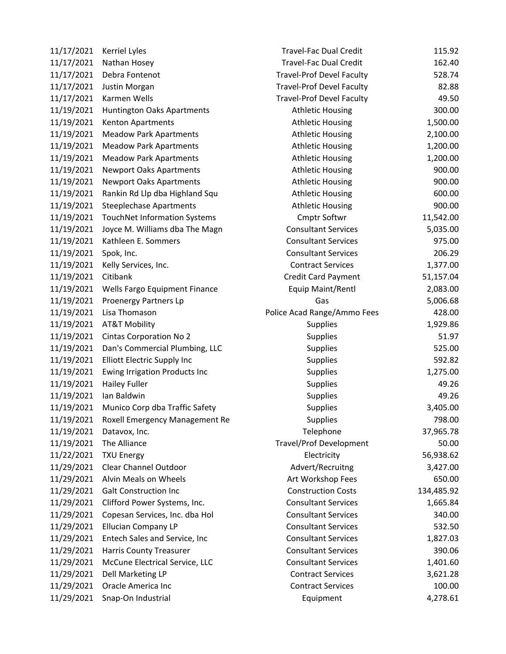| 11/17/2021 | <b>Kerriel Lyles</b>               | <b>Travel-Fac Dual Credit</b>    | 115.92     |
|------------|------------------------------------|----------------------------------|------------|
| 11/17/2021 | Nathan Hosey                       | <b>Travel-Fac Dual Credit</b>    | 162.40     |
| 11/17/2021 | Debra Fontenot                     | <b>Travel-Prof Devel Faculty</b> | 528.74     |
| 11/17/2021 | Justin Morgan                      | <b>Travel-Prof Devel Faculty</b> | 82.88      |
| 11/17/2021 | Karmen Wells                       | <b>Travel-Prof Devel Faculty</b> | 49.50      |
| 11/19/2021 | Huntington Oaks Apartments         | <b>Athletic Housing</b>          | 300.00     |
| 11/19/2021 | Kenton Apartments                  | <b>Athletic Housing</b>          | 1,500.00   |
| 11/19/2021 | <b>Meadow Park Apartments</b>      | <b>Athletic Housing</b>          | 2,100.00   |
| 11/19/2021 | <b>Meadow Park Apartments</b>      | <b>Athletic Housing</b>          | 1,200.00   |
| 11/19/2021 | <b>Meadow Park Apartments</b>      | <b>Athletic Housing</b>          | 1,200.00   |
| 11/19/2021 | <b>Newport Oaks Apartments</b>     | <b>Athletic Housing</b>          | 900.00     |
| 11/19/2021 | <b>Newport Oaks Apartments</b>     | <b>Athletic Housing</b>          | 900.00     |
| 11/19/2021 | Rankin Rd Llp dba Highland Squ     | <b>Athletic Housing</b>          | 600.00     |
| 11/19/2021 | <b>Steeplechase Apartments</b>     | <b>Athletic Housing</b>          | 900.00     |
| 11/19/2021 | TouchNet Information Systems       | Cmptr Softwr                     | 11,542.00  |
| 11/19/2021 | Joyce M. Williams dba The Magn     | <b>Consultant Services</b>       | 5,035.00   |
| 11/19/2021 | Kathleen E. Sommers                | <b>Consultant Services</b>       | 975.00     |
| 11/19/2021 | Spok, Inc.                         | <b>Consultant Services</b>       | 206.29     |
| 11/19/2021 | Kelly Services, Inc.               | <b>Contract Services</b>         | 1,377.00   |
| 11/19/2021 | Citibank                           | Credit Card Payment              | 51,157.04  |
| 11/19/2021 | Wells Fargo Equipment Finance      | Equip Maint/Rentl                | 2,083.00   |
| 11/19/2021 | Proenergy Partners Lp              | Gas                              | 5,006.68   |
| 11/19/2021 | Lisa Thomason                      | Police Acad Range/Ammo Fees      | 428.00     |
| 11/19/2021 | <b>AT&amp;T Mobility</b>           | <b>Supplies</b>                  | 1,929.86   |
| 11/19/2021 | <b>Cintas Corporation No 2</b>     | <b>Supplies</b>                  | 51.97      |
| 11/19/2021 | Dan's Commercial Plumbing, LLC     | <b>Supplies</b>                  | 525.00     |
| 11/19/2021 | <b>Elliott Electric Supply Inc</b> | Supplies                         | 592.82     |
| 11/19/2021 | Ewing Irrigation Products Inc      | <b>Supplies</b>                  | 1,275.00   |
| 11/19/2021 | <b>Hailey Fuller</b>               | <b>Supplies</b>                  | 49.26      |
| 11/19/2021 | Ian Baldwin                        | <b>Supplies</b>                  | 49.26      |
| 11/19/2021 | Munico Corp dba Traffic Safety     | Supplies                         | 3,405.00   |
| 11/19/2021 | Roxell Emergency Management Re     | Supplies                         | 798.00     |
| 11/19/2021 | Datavox, Inc.                      | Telephone                        | 37,965.78  |
| 11/19/2021 | The Alliance                       | <b>Travel/Prof Development</b>   | 50.00      |
| 11/22/2021 | <b>TXU Energy</b>                  | Electricity                      | 56,938.62  |
| 11/29/2021 | Clear Channel Outdoor              | Advert/Recruitng                 | 3,427.00   |
| 11/29/2021 | Alvin Meals on Wheels              | Art Workshop Fees                | 650.00     |
| 11/29/2021 | <b>Galt Construction Inc</b>       | <b>Construction Costs</b>        | 134,485.92 |
| 11/29/2021 | Clifford Power Systems, Inc.       | <b>Consultant Services</b>       | 1,665.84   |
| 11/29/2021 | Copesan Services, Inc. dba Hol     | <b>Consultant Services</b>       | 340.00     |
| 11/29/2021 | <b>Ellucian Company LP</b>         | <b>Consultant Services</b>       | 532.50     |
| 11/29/2021 | Entech Sales and Service, Inc      | <b>Consultant Services</b>       | 1,827.03   |
| 11/29/2021 | <b>Harris County Treasurer</b>     | <b>Consultant Services</b>       | 390.06     |
| 11/29/2021 | McCune Electrical Service, LLC     | <b>Consultant Services</b>       | 1,401.60   |
| 11/29/2021 | Dell Marketing LP                  | <b>Contract Services</b>         | 3,621.28   |
| 11/29/2021 | Oracle America Inc                 | <b>Contract Services</b>         | 100.00     |
| 11/29/2021 | Snap-On Industrial                 | Equipment                        | 4,278.61   |